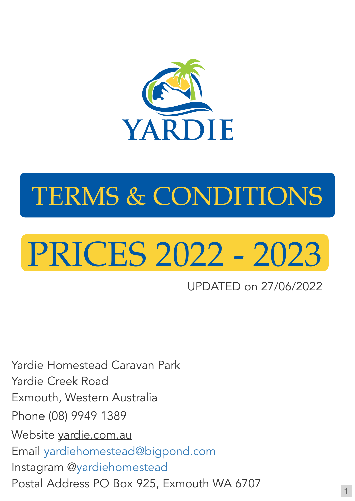# PRICES 2022 - 2023



# TERMS & CONDITIONS

Yardie Homestead Caravan Park Yardie Creek Road Exmouth, Western Australia Phone (08) 9949 1389 Website [yardie.com.au](http://yardie.com.au) Email [yardiehomestead@bigpond.com](mailto:yardiehomestead@bigpond.com)

## Instagram [@yardiehomestead](https://www.instagram.com/yardiehomestead/?hl=fr)

## Postal Address PO Box 925, Exmouth WA 6707

UPDATED on 27/06/2022

1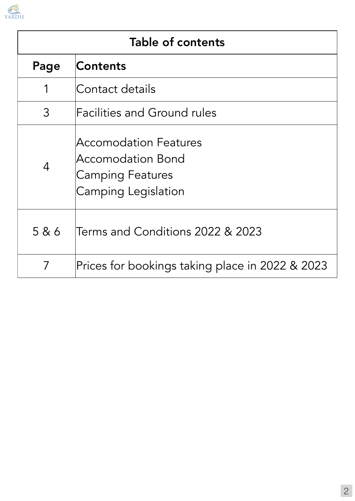2

| Table of contents |                             |  |  |  |  |
|-------------------|-----------------------------|--|--|--|--|
|                   | Page Contents               |  |  |  |  |
|                   | Contact details             |  |  |  |  |
|                   | Facilities and Ground rules |  |  |  |  |
|                   | Accomodation Features       |  |  |  |  |



4

Accomodation Bond Camping Features Camping Legislation

## 5 & 6 Terms and Conditions 2022 & 2023

7 Prices for bookings taking place in 2022 & 2023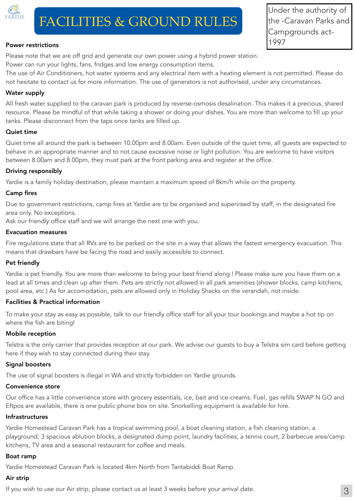

## FACILITIES & GROUND RULES

#### Power restrictions

Please note that we are off grid and generate our own power using a hybrid power station.

Power can run your lights, fans, fridges and low energy consumption items.

The use of Air Conditioners, hot water systems and any electrical item with a heating element is not permitted. Please do not hesitate to contact us for more information. The use of generators is not authorised, under any circumstances.

#### Water supply

All fresh water supplied to the caravan park is produced by reverse-osmosis desalination. This makes it a precious, shared resource. Please be mindful of that while taking a shower or doing your dishes. You are more than welcome to fill up your tanks. Please disconnect from the taps once tanks are filled up.

#### Quiet time

Quiet time all around the park is between 10.00pm and 8.00am. Even outside of the quiet time, all guests are expected to behave in an appropriate manner and to not cause excessive noise or light pollution. You are welcome to have visitors between 8.00am and 8.00pm, they must park at the front parking area and register at the office.

To make your stay as easy as possible, talk to our friendly office staff for all your tour bookings and maybe a hot tip on where the fish are biting!

#### Driving responsibly

Yardie is a family holiday destination, please maintain a maximum speed of 8km/h while on the property.

#### Camp fires

Due to government restrictions, camp fires at Yardie are to be organised and supervised by staff, in the designated fire area only. No exceptions.

Ask our friendly office staff and we will arrange the next one with you.

#### Evacuation measures

Fire regulations state that all RVs are to be parked on the site in a way that allows the fastest emergency evacuation. This means that drawbars have be facing the road and easily accessible to connect.

#### Pet friendly

Yardie is pet friendly. You are more than welcome to bring your best friend along ! Please make sure you have them on a lead at all times and clean up after them. Pets are strictly not allowed in all park amenities (shower blocks, camp kitchens, pool area, etc.) As for accomodation, pets are allowed only in Holiday Shacks on the verandah, not inside.

#### Facilities & Practical information

#### Mobile reception

Telstra is the only carrier that provides reception at our park. We advise our guests to buy a Telstra sim card before getting here if they wish to stay connected during their stay.

#### Signal boosters

The use of signal boosters is illegal in WA and strictly forbidden on Yardie grounds.

#### Convenience store

Our office has a little convenience store with grocery essentials, ice, bait and ice-creams. Fuel, gas refills SWAP N GO and Eftpos are available, there is one public phone box on site. Snorkelling equipment is available for hire.

#### Infrastructures

Yardie Homestead Caravan Park has a tropical swimming pool, a boat cleaning station, a fish cleaning station, a playground, 3 spacious ablution blocks, a designated dump point, laundry facilities, a tennis court, 2 barbecue area/camp kitchens, TV area and a seasonal restaurant for coffee and meals.



#### Yardie Homestead Caravan Park is located 4km North from Tantabiddi Boat Ramp.



#### If you wish to use our Air strip, please contact us at least 3 weeks before your arrival date.

Under the authority of the -Caravan Parks and Campgrounds act-1997

3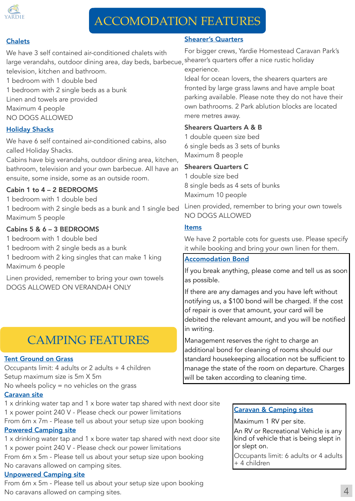## CAMPING FEATURES



## ACCOMODATION FEATURES

#### **Chalets**

#### Shearer's Quarters

For bigger crews, Yardie Homestead Caravan Park's shearer's quarters offer a nice rustic holiday experience.

Ideal for ocean lovers, the shearers quarters are fronted by large grass lawns and have ample boat parking available. Please note they do not have their own bathrooms. 2 Park ablution blocks are located mere metres away.

#### Shearers Quarters A & B

1 double queen size bed 6 single beds as 3 sets of bunks

We have 3 self contained air-conditioned chalets with large verandahs, outdoor dining area, day beds, barbecue, television, kitchen and bathroom.

Maximum 8 people

#### Shearers Quarters C

1 double size bed 8 single beds as 4 sets of bunks Maximum 10 people

We have 6 self contained air-conditioned cabins, also called Holiday Shacks.

> Linen provided, remember to bring your own towels NO DOGS ALLOWED

#### **Items**

We have 2 portable cots for guests use. Please specify it while booking and bring your own linen for them.

If you break anything, please come and tell us as soon as possible.

- 1 bedroom with 1 double bed
- 1 bedroom with 2 single beds as a bunk

If there are any damages and you have left without notifying us, a \$100 bond will be charged. If the cost of repair is over that amount, your card will be debited the relevant amount, and you will be notified in writing.

Linen and towels are provided

- Maximum 4 people
- NO DOGS ALLOWED

#### Holiday Shacks

Cabins have big verandahs, outdoor dining area, kitchen, bathroom, television and your own barbecue. All have an ensuite, some inside, some as an outside room.

#### Cabin 1 to 4 – 2 BEDROOMS

1 bedroom with 1 double bed

1 bedroom with 2 single beds as a bunk and 1 single bed Maximum 5 people

#### Cabins 5 & 6 – 3 BEDROOMS

1 bedroom with 1 double bed

1 bedroom with 2 single beds as a bunk

1 bedroom with 2 king singles that can make 1 king Maximum 6 people

Linen provided, remember to bring your own towels DOGS ALLOWED ON VERANDAH ONLY

#### Accomodation Bond

Management reserves the right to charge an additional bond for cleaning of rooms should our standard housekeeping allocation not be sufficient to manage the state of the room on departure. Charges will be taken according to cleaning time.

4

#### Tent Ground on Grass

Occupants limit: 4 adults or 2 adults + 4 children Setup maximum size is 5m X 5m No wheels policy = no vehicles on the grass

#### Caravan site

1 x drinking water tap and 1 x bore water tap shared with next door site 1 x power point 240 V - Please check our power limitations From 6m x 7m - Please tell us about your setup size upon booking Powered Camping site

1 x drinking water tap and 1 x bore water tap shared with next door site 1 x power point 240 V - Please check our power limitations

#### From 6m x 5m - Please tell us about your setup size upon booking

No caravans allowed on camping sites.

Unpowered Camping site

From 6m x 5m - Please tell us about your setup size upon booking

No caravans allowed on camping sites.

#### Caravan & Camping sites

Maximum 1 RV per site.

An RV or Recreational Vehicle is any kind of vehicle that is being slept in or slept on.

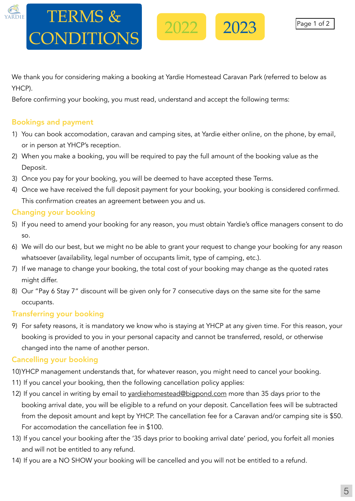We thank you for considering making a booking at Yardie Homestead Caravan Park (referred to below as YHCP).

Before confirming your booking, you must read, understand and accept the following terms:

#### Bookings and payment

1) You can book accomodation, caravan and camping sites, at Yardie either online, on the phone, by email, or in person at YHCP's reception.

- 2) When you make a booking, you will be required to pay the full amount of the booking value as the Deposit.
- 3) Once you pay for your booking, you will be deemed to have accepted these Terms.
- 4) Once we have received the full deposit payment for your booking, your booking is considered confirmed. This confirmation creates an agreement between you and us.

### Changing your booking

- 5) If you need to amend your booking for any reason, you must obtain Yardie's office managers consent to do so.
- 6) We will do our best, but we might no be able to grant your request to change your booking for any reason whatsoever (availability, legal number of occupants limit, type of camping, etc.).
- 7) If we manage to change your booking, the total cost of your booking may change as the quoted rates might differ.
- 8) Our "Pay 6 Stay 7" discount will be given only for 7 consecutive days on the same site for the same occupants.

#### Transferring your booking

9) For safety reasons, it is mandatory we know who is staying at YHCP at any given time. For this reason, your booking is provided to you in your personal capacity and cannot be transferred, resold, or otherwise changed into the name of another person.

#### Cancelling your booking

- 10)YHCP management understands that, for whatever reason, you might need to cancel your booking. 11) If you cancel your booking, then the following cancellation policy applies: 12) If you cancel in writing by email to [yardiehomestead@bigpond.com](mailto:yardiehomestead@bigpond.com) more than 35 days prior to the booking arrival date, you will be eligible to a refund on your deposit. Cancellation fees will be subtracted from the deposit amount and kept by YHCP. The cancellation fee for a Caravan and/or camping site is \$50. For accomodation the cancellation fee in \$100.
- 13) If you cancel your booking after the '35 days prior to booking arrival date' period, you forfeit all monies and will not be entitled to any refund.

#### 14) If you are a NO SHOW your booking will be cancelled and you will not be entitled to a refund.

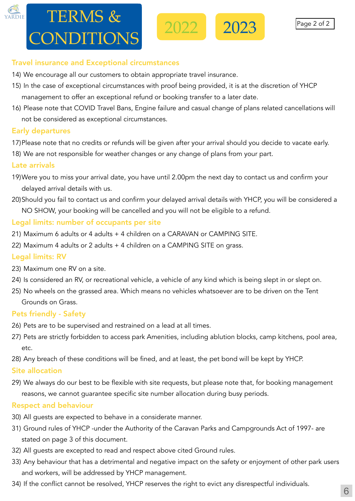13) If you are a NO SHOW your booking will be cancelled and you will not be entitled to a refund.

#### Travel insurance and Exceptional circumstances

- 14) We encourage all our customers to obtain appropriate travel insurance.
- 15) In the case of exceptional circumstances with proof being provided, it is at the discretion of YHCP management to offer an exceptional refund or booking transfer to a later date.

16) Please note that COVID Travel Bans, Engine failure and casual change of plans related cancellations will not be considered as exceptional circumstances.

#### Early departures

17)Please note that no credits or refunds will be given after your arrival should you decide to vacate early. 18) We are not responsible for weather changes or any change of plans from your part.

#### Late arrivals

19)Were you to miss your arrival date, you have until 2.00pm the next day to contact us and confirm your delayed arrival details with us.

20)Should you fail to contact us and confirm your delayed arrival details with YHCP, you will be considered a NO SHOW, your booking will be cancelled and you will not be eligible to a refund.



## $120$  If  $\sqrt{35}$  days prior to booking after the '35 days prior to booking arrival date' period, 50% of the total date to booking arrival date of the total date of the total date of the total date of the total date of th YHCP (ie. \$50 for a site and \$100 for accomodation). TERMS & CONDITIONS

#### Legal limits: number of occupants per site

21) Maximum 6 adults or 4 adults + 4 children on a CARAVAN or CAMPING SITE.



22) Maximum 4 adults or 2 adults + 4 children on a CAMPING SITE on grass.

### Legal limits: RV

23) Maximum one RV on a site.

24) Is considered an RV, or recreational vehicle, a vehicle of any kind which is being slept in or slept on. 25) No wheels on the grassed area. Which means no vehicles whatsoever are to be driven on the Tent Grounds on Grass.

#### Pets friendly - Safety

26) Pets are to be supervised and restrained on a lead at all times.

27) Pets are strictly forbidden to access park Amenities, including ablution blocks, camp kitchens, pool area, etc.

28) Any breach of these conditions will be fined, and at least, the pet bond will be kept by YHCP. Site allocation

29) We always do our best to be flexible with site requests, but please note that, for booking management reasons, we cannot guarantee specific site number allocation during busy periods.

#### Respect and behaviour

30) All guests are expected to behave in a considerate manner.

31) Ground rules of YHCP -under the Authority of the Caravan Parks and Campgrounds Act of 1997- are stated on page 3 of this document.

32) All guests are excepted to read and respect above cited Ground rules.



#### and workers, will be addressed by YHCP management.

#### 34) If the conflict cannot be resolved, YHCP reserves the right to evict any disrespectful individuals.

Page 2 of 2

6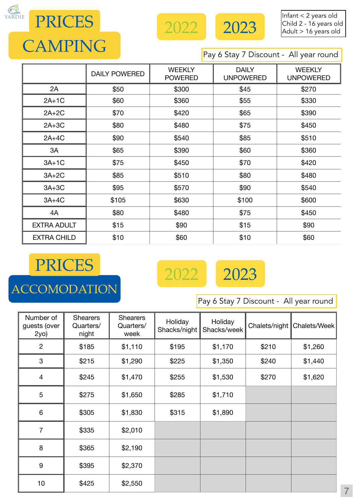

#### Pay 6 Stay 7 Discount - All year round



PRICES



|                    | <b>DAILY POWERED</b> | <b>WEEKLY</b><br><b>POWERED</b> | <b>DAILY</b><br><b>UNPOWERED</b> | <b>WEEKLY</b><br><b>UNPOWERED</b> |  |
|--------------------|----------------------|---------------------------------|----------------------------------|-----------------------------------|--|
| 2A                 | \$50                 | \$300                           | \$45                             | \$270                             |  |
| $2A+1C$            | \$360<br>\$60        |                                 | \$55                             | \$330                             |  |
| $2A+2C$            | \$70                 | \$420<br>\$65                   |                                  | \$390                             |  |
| $2A+3C$            | \$80                 | \$480                           | \$75                             | \$450                             |  |
| $2A+4C$            | \$90                 | \$540                           | \$85                             | \$510                             |  |
| 3A                 | \$65                 | \$390                           | \$60                             | \$360                             |  |
| $3A+1C$            | \$75                 | \$450                           | \$70                             | \$420                             |  |
| $3A+2C$            | \$85                 | \$510                           | \$80                             | \$480                             |  |
| $3A+3C$            | \$95                 | \$90<br>\$570                   |                                  | \$540                             |  |
| $3A+4C$            | \$105                |                                 | \$100                            | \$600                             |  |
| 4A                 | \$80                 | \$480                           | \$75                             | \$450                             |  |
| <b>EXTRA ADULT</b> | \$15                 | \$90                            | \$15                             | \$90                              |  |
| <b>EXTRA CHILD</b> | \$10                 | \$60                            | \$10                             | \$60                              |  |



| Number of<br>guests (over<br>2y0) | Shearers<br>Quarters/<br>night | <b>Shearers</b><br>Quarters/<br>week | Holiday<br>Shacks/night | Holiday<br>Shacks/week |       | Chalets/night   Chalets/Week |
|-----------------------------------|--------------------------------|--------------------------------------|-------------------------|------------------------|-------|------------------------------|
| $\overline{2}$                    | \$185                          | \$1,110                              | \$195                   | \$1,170                | \$210 | \$1,260                      |
| 3                                 | \$215                          | \$1,290                              | \$225                   | \$1,350                | \$240 | \$1,440                      |
| 4                                 | \$245                          | \$1,470                              | \$255                   | \$1,530                | \$270 | \$1,620                      |
| 5                                 | \$275                          | \$1,650                              | \$285                   | \$1,710                |       |                              |
| 6                                 | \$305                          | \$1,830                              | \$315                   | \$1,890                |       |                              |
|                                   | \$335                          | \$2,010                              |                         |                        |       |                              |
| 8                                 | \$365                          | \$2,190                              |                         |                        |       |                              |



7



Pay 6 Stay 7 Discount - All year round